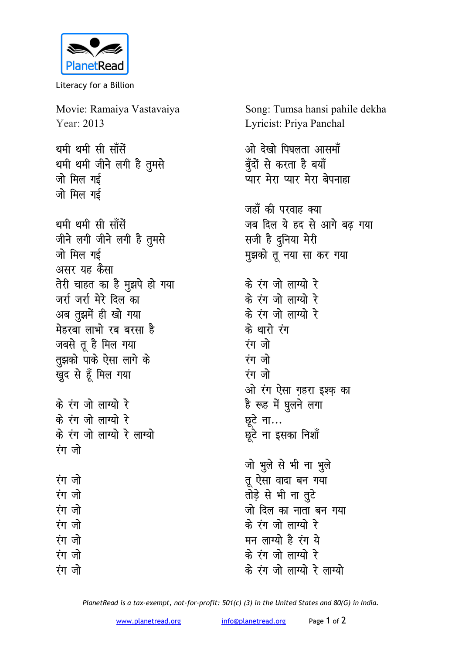

Literacy for a Billion

Movie: Ramaiya Vastavaiya Year: 2013 थमी थमी सी साँसें थमी थमी जीने लगी है तुमसे जो मिल गई जो मिल गई थमी थमी सी साँसें जीने लगी जीने लगी है तुमसे जो मिल गई असर यह कैसा तेरी चाहत का है मुझपे हो गया जर्रा जर्रा मेरे दिल का अब तूझमें ही खो गया मेहरबा लाभो रब बरसा है जबसे तू है मिल गया रंग जो तुझको पाके ऐसा लागे के रंग जो खुद से हूँ मिल गया रंग जो के रंग जो लाग्यो रे के रंग जो लाग्यो रे छूटे ना... के रंग जो लाग्यो रे लाग्यो रंग जो रंग जो रंग जो रंग जो रंग जो रंग जो रंग जो रंग जो

Song: Tumsa hansi pahile dekha Lyricist: Priya Panchal

ओ देखो पिघलता आसमॉ बूँदों से करता है बयाँ ्<br>प्यार मेरा प्यार मेरा बेपनाहा जहाँ की परवाह क्या जब दिल ये हद से आगे बढ गया सजी है दुनिया मेरी मुझको तू नया सा कर गया के रंग जो लाग्यो रे के रंग जो लाग्यो रे के रंग जो लाग्यो रे के थारो रंग ओ रंग ऐसा गहरा इश्क का है रूह में घुलने लगा छूटे ना इसका निशॉ

जो भुले से भी ना भुले तू ऐसा वादा बन गया तोड़े से भी ना तूटे जो दिल का नाता बन गया के रंग जो लाग्यो रे मन लाग्यो है रंग ये के रंग जो लाग्यो रे के रंग जो लाग्यो रे लाग्यो

PlanetRead is a tax-exempt, not-for-profit: 501(c) (3) in the United States and 80(G) in India.